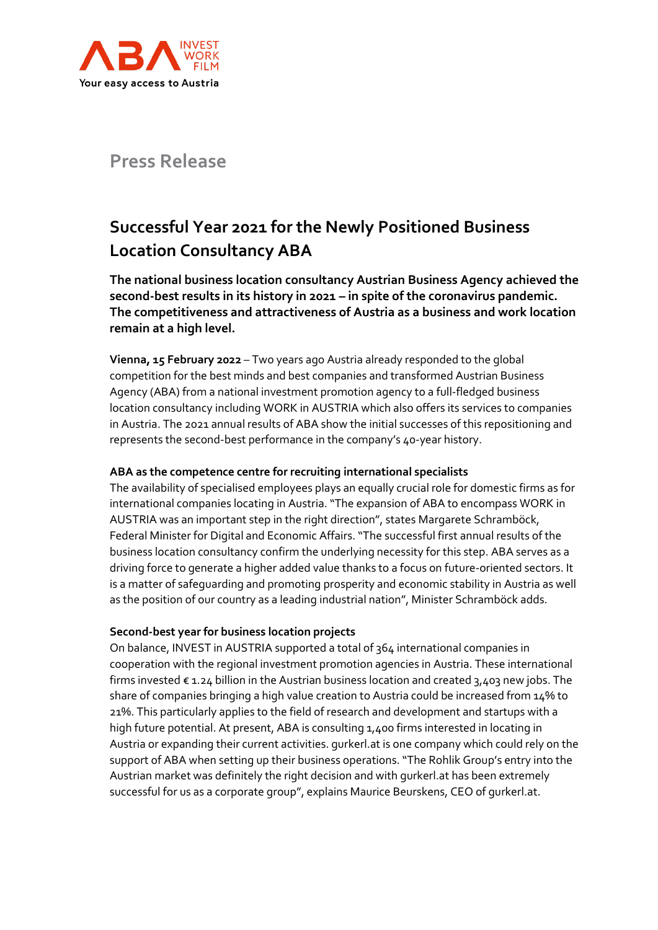

# **Press Release**

# **Successful Year 2021 for the Newly Positioned Business Location Consultancy ABA**

**The national business location consultancy Austrian Business Agency achieved the second-best results in its history in 2021 – in spite of the coronavirus pandemic. The competitiveness and attractiveness of Austria as a business and work location remain at a high level.**

**Vienna, 15 February 2022** – Two years ago Austria already responded to the global competition for the best minds and best companies and transformed Austrian Business Agency (ABA) from a national investment promotion agency to a full-fledged business location consultancy including WORK in AUSTRIA which also offers its services to companies in Austria. The 2021 annual results of ABA show the initial successes of this repositioning and represents the second-best performance in the company's 40-year history.

## **ABA as the competence centre for recruiting international specialists**

The availability of specialised employees plays an equally crucial role for domestic firms as for international companies locating in Austria. "The expansion of ABA to encompass WORK in AUSTRIA was an important step in the right direction", states Margarete Schramböck, Federal Minister for Digital and Economic Affairs. "The successful first annual results of the business location consultancy confirm the underlying necessity for this step. ABA serves as a driving force to generate a higher added value thanks to a focus on future-oriented sectors. It is a matter of safeguarding and promoting prosperity and economic stability in Austria as well as the position of our country as a leading industrial nation", Minister Schramböck adds.

## **Second-best year for business location projects**

On balance, INVEST in AUSTRIA supported a total of 364 international companies in cooperation with the regional investment promotion agencies in Austria. These international firms invested  $\epsilon$  1.24 billion in the Austrian business location and created 3,403 new jobs. The share of companies bringing a high value creation to Austria could be increased from 14% to 21%. This particularly applies to the field of research and development and startups with a high future potential. At present, ABA is consulting 1,400 firms interested in locating in Austria or expanding their current activities. gurkerl.at is one company which could rely on the support of ABA when setting up their business operations. "The Rohlik Group's entry into the Austrian market was definitely the right decision and with gurkerl.at has been extremely successful for us as a corporate group", explains Maurice Beurskens, CEO of gurkerl.at.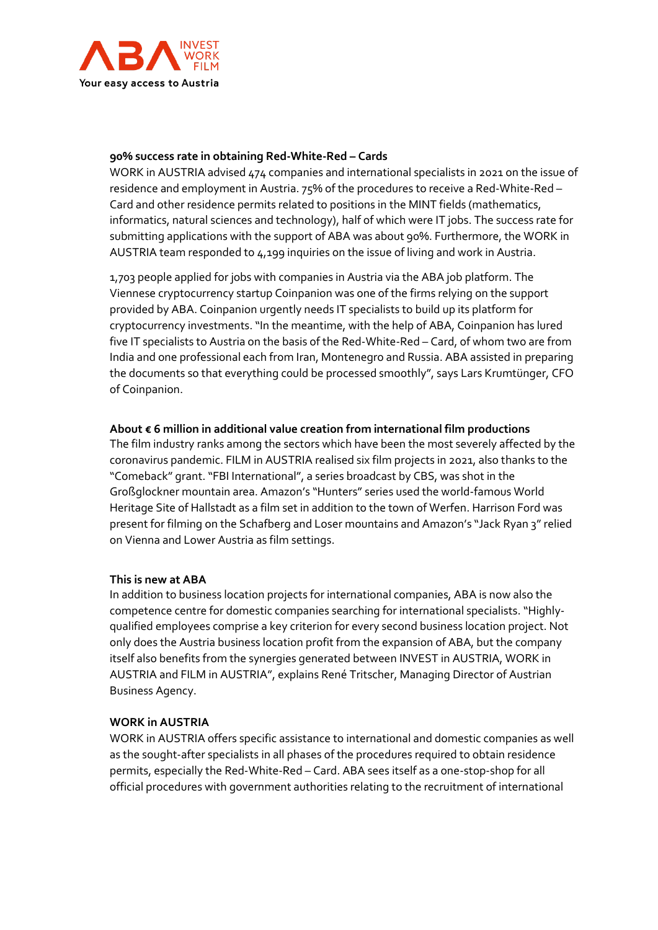

#### **90% success rate in obtaining Red-White-Red – Cards**

WORK in AUSTRIA advised 474 companies and international specialists in 2021 on the issue of residence and employment in Austria. 75% of the procedures to receive a Red-White-Red – Card and other residence permits related to positions in the MINT fields (mathematics, informatics, natural sciences and technology), half of which were IT jobs. The success rate for submitting applications with the support of ABA was about 90%. Furthermore, the WORK in AUSTRIA team responded to 4,199 inquiries on the issue of living and work in Austria.

1,703 people applied for jobs with companies in Austria via the ABA job platform. The Viennese cryptocurrency startup Coinpanion was one of the firms relying on the support provided by ABA. Coinpanion urgently needs IT specialists to build up its platform for cryptocurrency investments. "In the meantime, with the help of ABA, Coinpanion has lured five IT specialists to Austria on the basis of the Red-White-Red – Card, of whom two are from India and one professional each from Iran, Montenegro and Russia. ABA assisted in preparing the documents so that everything could be processed smoothly", says Lars Krumtünger, CFO of Coinpanion.

#### **About € 6 million in additional value creation from international film productions**

The film industry ranks among the sectors which have been the most severely affected by the coronavirus pandemic. FILM in AUSTRIA realised six film projects in 2021, also thanks to the "Comeback" grant. "FBI International", a series broadcast by CBS, was shot in the Großglockner mountain area. Amazon's "Hunters" series used the world-famous World Heritage Site of Hallstadt as a film set in addition to the town of Werfen. Harrison Ford was present for filming on the Schafberg and Loser mountains and Amazon's "Jack Ryan 3" relied on Vienna and Lower Austria as film settings.

#### **This is new at ABA**

In addition to business location projects for international companies, ABA is now also the competence centre for domestic companies searching for international specialists. "Highlyqualified employees comprise a key criterion for every second business location project. Not only does the Austria business location profit from the expansion of ABA, but the company itself also benefits from the synergies generated between INVEST in AUSTRIA, WORK in AUSTRIA and FILM in AUSTRIA", explains René Tritscher, Managing Director of Austrian Business Agency.

#### **WORK in AUSTRIA**

WORK in AUSTRIA offers specific assistance to international and domestic companies as well as the sought-after specialists in all phases of the procedures required to obtain residence permits, especially the Red-White-Red – Card. ABA sees itself as a one-stop-shop for all official procedures with government authorities relating to the recruitment of international